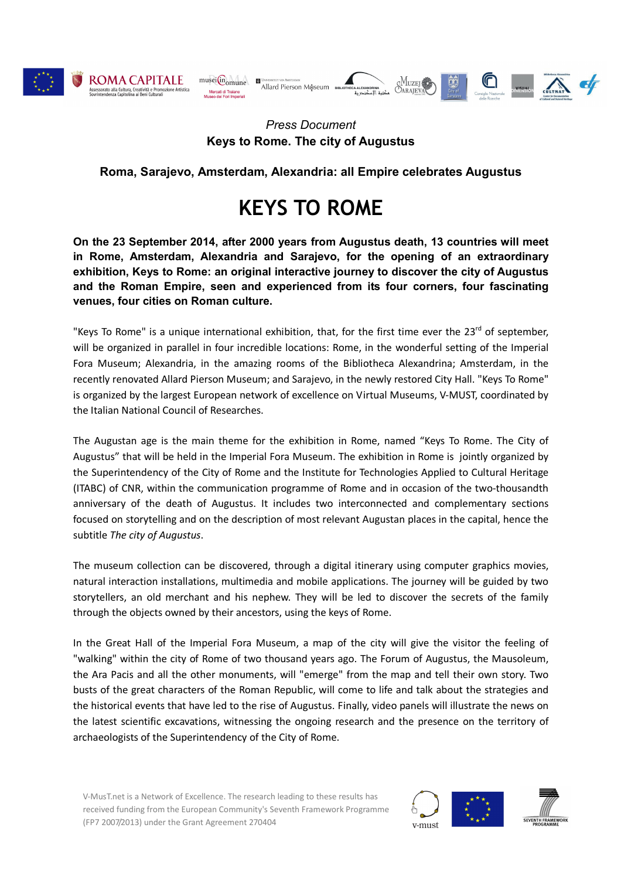

ROMA CAPITALE Assessorato alla Cultura, Creatività e Promo<br>Sovrintendenza Capitolina ai Beni Culturali



## *Press Document* **Keys to Rome. The city of Augustus**

## **Roma, Sarajevo, Amsterdam, Alexandria: all Empire celebrates Augustus**

## **KEYS TO ROME**

**On the 23 September 2014, after 2000 years from Augustus death, 13 countries will meet in Rome, Amsterdam, Alexandria and Sarajevo, for the opening of an extraordinary exhibition, Keys to Rome: an original interactive journey to discover the city of Augustus and the Roman Empire, seen and experienced from its four corners, four fascinating venues, four cities on Roman culture.**

"Keys To Rome" is a unique international exhibition, that, for the first time ever the 23<sup>rd</sup> of september, will be organized in parallel in four incredible locations: Rome, in the wonderful setting of the Imperial Fora Museum; Alexandria, in the amazing rooms of the Bibliotheca Alexandrina; Amsterdam, in the recently renovated Allard Pierson Museum; and Sarajevo, in the newly restored City Hall. "Keys To Rome" is organized by the largest European network of excellence on Virtual Museums, V-MUST, coordinated by the Italian National Council of Researches.

The Augustan age is the main theme for the exhibition in Rome, named "Keys To Rome. The City of Augustus" that will be held in the Imperial Fora Museum. The exhibition in Rome is jointly organized by the Superintendency of the City of Rome and the Institute for Technologies Applied to Cultural Heritage (ITABC) of CNR, within the communication programme of Rome and in occasion of the two-thousandth anniversary of the death of Augustus. It includes two interconnected and complementary sections focused on storytelling and on the description of most relevant Augustan places in the capital, hence the subtitle *The city of Augustus*.

The museum collection can be discovered, through a digital itinerary using computer graphics movies, natural interaction installations, multimedia and mobile applications. The journey will be guided by two storytellers, an old merchant and his nephew. They will be led to discover the secrets of the family through the objects owned by their ancestors, using the keys of Rome.

In the Great Hall of the Imperial Fora Museum, a map of the city will give the visitor the feeling of "walking" within the city of Rome of two thousand years ago. The Forum of Augustus, the Mausoleum, the Ara Pacis and all the other monuments, will "emerge" from the map and tell their own story. Two busts of the great characters of the Roman Republic, will come to life and talk about the strategies and the historical events that have led to the rise of Augustus. Finally, video panels will illustrate the news on the latest scientific excavations, witnessing the ongoing research and the presence on the territory of archaeologists of the Superintendency of the City of Rome.

V-MusT.net is a Network of Excellence. The research leading to these results has received funding from the European Community's Seventh Framework Programme (FP7 2007/2013) under the Grant Agreement 270404